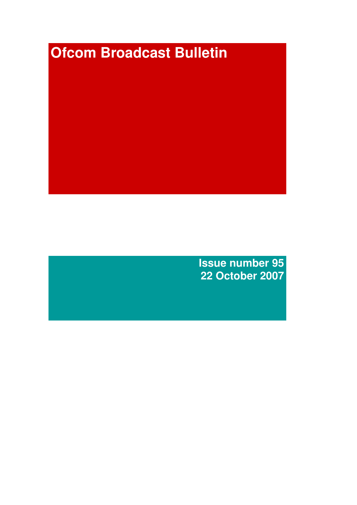# **Ofcom Broadcast Bulletin**

**Issue number 95 22 October 2007**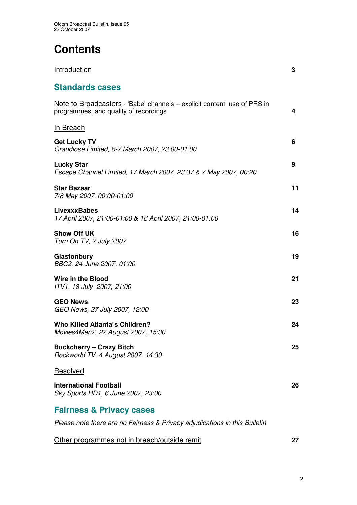# **Contents**

| <u>Introduction</u>                                                                                               | 3  |
|-------------------------------------------------------------------------------------------------------------------|----|
| <b>Standards cases</b>                                                                                            |    |
| Note to Broadcasters - 'Babe' channels – explicit content, use of PRS in<br>programmes, and quality of recordings | 4  |
| <u>In Breach</u>                                                                                                  |    |
| <b>Get Lucky TV</b><br>Grandiose Limited, 6-7 March 2007, 23:00-01:00                                             | 6  |
| <b>Lucky Star</b><br>Escape Channel Limited, 17 March 2007, 23:37 & 7 May 2007, 00:20                             | 9  |
| <b>Star Bazaar</b><br>7/8 May 2007, 00:00-01:00                                                                   | 11 |
| <b>LivexxxBabes</b><br>17 April 2007, 21:00-01:00 & 18 April 2007, 21:00-01:00                                    | 14 |
| <b>Show Off UK</b><br>Turn On TV, 2 July 2007                                                                     | 16 |
| Glastonbury<br>BBC2, 24 June 2007, 01:00                                                                          | 19 |
| Wire in the Blood<br>ITV1, 18 July 2007, 21:00                                                                    | 21 |
| <b>GEO News</b><br>GEO News, 27 July 2007, 12:00                                                                  | 23 |
| <b>Who Killed Atlanta's Children?</b><br>Movies4Men2, 22 August 2007, 15:30                                       | 24 |
| <b>Buckcherry - Crazy Bitch</b><br>Rockworld TV, 4 August 2007, 14:30                                             | 25 |
| Resolved                                                                                                          |    |
| International Football<br>Sky Sports HD1, 6 June 2007, 23:00                                                      | 26 |
| <b>Fairness &amp; Privacy cases</b>                                                                               |    |

*Please note there are no Fairness & Privacy adjudications in this Bulletin*

| Other programmes not in breach/outside remit |  |
|----------------------------------------------|--|
|----------------------------------------------|--|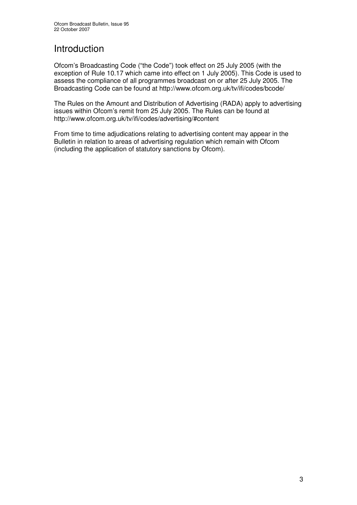# **Introduction**

Ofcom's Broadcasting Code ("the Code") took effect on 25 July 2005 (with the exception of Rule 10.17 which came into effect on 1 July 2005). This Code is used to assess the compliance of all programmes broadcast on or after 25 July 2005. The Broadcasting Code can be found at http://www.ofcom.org.uk/tv/ifi/codes/bcode/

The Rules on the Amount and Distribution of Advertising (RADA) apply to advertising issues within Ofcom's remit from 25 July 2005. The Rules can be found at http://www.ofcom.org.uk/tv/ifi/codes/advertising/#content

From time to time adjudications relating to advertising content may appear in the Bulletin in relation to areas of advertising regulation which remain with Ofcom (including the application of statutory sanctions by Ofcom).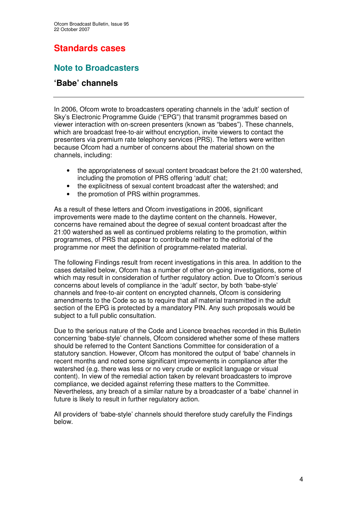# **Standards cases**

# **Note to Broadcasters**

# **'Babe' channels**

In 2006, Ofcom wrote to broadcasters operating channels in the 'adult' section of Sky's Electronic Programme Guide ("EPG") that transmit programmes based on viewer interaction with on-screen presenters (known as "babes"). These channels, which are broadcast free-to-air without encryption, invite viewers to contact the presenters via premium rate telephony services (PRS). The letters were written because Ofcom had a number of concerns about the material shown on the channels, including:

- the appropriateness of sexual content broadcast before the 21:00 watershed, including the promotion of PRS offering 'adult' chat;
- the explicitness of sexual content broadcast after the watershed; and
- the promotion of PRS within programmes.

As a result of these letters and Ofcom investigations in 2006, significant improvements were made to the daytime content on the channels. However, concerns have remained about the degree of sexual content broadcast after the 21:00 watershed as well as continued problems relating to the promotion, within programmes, of PRS that appear to contribute neither to the editorial of the programme nor meet the definition of programme-related material.

The following Findings result from recent investigations in this area. In addition to the cases detailed below, Ofcom has a number of other on-going investigations, some of which may result in consideration of further regulatory action. Due to Ofcom's serious concerns about levels of compliance in the 'adult' sector, by both 'babe-style' channels and free-to-air content on encrypted channels, Ofcom is considering amendments to the Code so as to require that *all* material transmitted in the adult section of the EPG is protected by a mandatory PIN. Any such proposals would be subject to a full public consultation.

Due to the serious nature of the Code and Licence breaches recorded in this Bulletin concerning 'babe-style' channels, Ofcom considered whether some of these matters should be referred to the Content Sanctions Committee for consideration of a statutory sanction. However, Ofcom has monitored the output of 'babe' channels in recent months and noted some significant improvements in compliance after the watershed (e.g. there was less or no very crude or explicit language or visual content). In view of the remedial action taken by relevant broadcasters to improve compliance, we decided against referring these matters to the Committee. Nevertheless, any breach of a similar nature by a broadcaster of a 'babe' channel in future is likely to result in further regulatory action.

All providers of 'babe-style' channels should therefore study carefully the Findings below.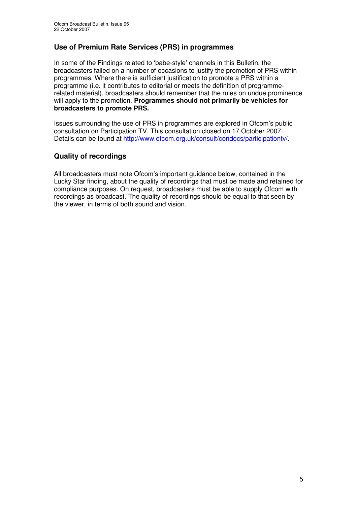### **Use of Premium Rate Services (PRS) in programmes**

In some of the Findings related to 'babe-style' channels in this Bulletin, the broadcasters failed on a number of occasions to justify the promotion of PRS within programmes. Where there is sufficient justification to promote a PRS within a programme (i.e. it contributes to editorial or meets the definition of programmerelated material), broadcasters should remember that the rules on undue prominence will apply to the promotion. **Programmes should not primarily be vehicles for broadcasters to promote PRS.**

Issues surrounding the use of PRS in programmes are explored in Ofcom's public consultation on Participation TV. This consultation closed on 17 October 2007. Details can be found at http://www.ofcom.org.uk/consult/condocs/participationtv/.

### **Quality of recordings**

All broadcasters must note Ofcom's important guidance below, contained in the Lucky Star finding, about the quality of recordings that must be made and retained for compliance purposes. On request, broadcasters must be able to supply Ofcom with recordings as broadcast. The quality of recordings should be equal to that seen by the viewer, in terms of both sound and vision.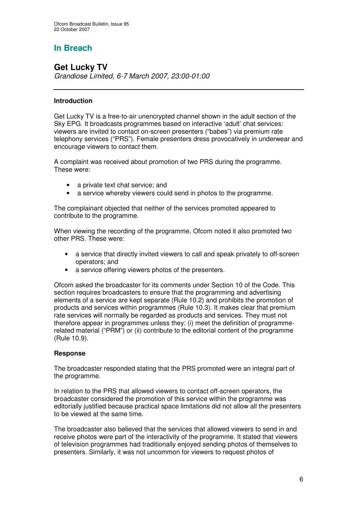# **In Breach**

### **Get Lucky TV** *Grandiose Limited, 6-7 March 2007, 23:00-01:00*

### **Introduction**

Get Lucky TV is a free-to-air unencrypted channel shown in the adult section of the Sky EPG. It broadcasts programmes based on interactive 'adult' chat services: viewers are invited to contact on-screen presenters ("babes") via premium rate telephony services ("PRS"). Female presenters dress provocatively in underwear and encourage viewers to contact them.

A complaint was received about promotion of two PRS during the programme. These were:

- a private text chat service; and
- a service whereby viewers could send in photos to the programme.

The complainant objected that neither of the services promoted appeared to contribute to the programme.

When viewing the recording of the programme, Ofcom noted it also promoted two other PRS. These were:

- a service that directly invited viewers to call and speak privately to off-screen operators; and
- a service offering viewers photos of the presenters.

Ofcom asked the broadcaster for its comments under Section 10 of the Code. This section requires broadcasters to ensure that the programming and advertising elements of a service are kept separate (Rule 10.2) and prohibits the promotion of products and services within programmes (Rule 10.3). It makes clear that premium rate services will normally be regarded as products and services. They must not therefore appear in programmes unless they: (i) meet the definition of programmerelated material ("PRM") or (ii) contribute to the editorial content of the programme (Rule 10.9).

### **Response**

The broadcaster responded stating that the PRS promoted were an integral part of the programme.

In relation to the PRS that allowed viewers to contact off-screen operators, the broadcaster considered the promotion of this service within the programme was editorially justified because practical space limitations did not allow all the presenters to be viewed at the same time.

The broadcaster also believed that the services that allowed viewers to send in and receive photos were part of the interactivity of the programme. It stated that viewers of television programmes had traditionally enjoyed sending photos of themselves to presenters. Similarly, it was not uncommon for viewers to request photos of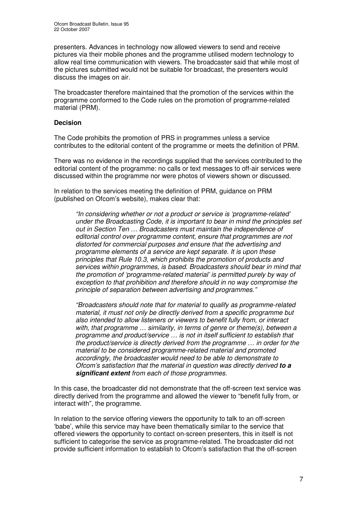presenters. Advances in technology now allowed viewers to send and receive pictures via their mobile phones and the programme utilised modern technology to allow real time communication with viewers. The broadcaster said that while most of the pictures submitted would not be suitable for broadcast, the presenters would discuss the images on air.

The broadcaster therefore maintained that the promotion of the services within the programme conformed to the Code rules on the promotion of programme-related material (PRM).

### **Decision**

The Code prohibits the promotion of PRS in programmes unless a service contributes to the editorial content of the programme or meets the definition of PRM.

There was no evidence in the recordings supplied that the services contributed to the editorial content of the programme: no calls or text messages to off-air services were discussed within the programme nor were photos of viewers shown or discussed.

In relation to the services meeting the definition of PRM, guidance on PRM (published on Ofcom's website), makes clear that:

*"In considering whether or not a product or service is 'programme-related' under the Broadcasting Code, it is important to bear in mind the principles set out in Section Ten … Broadcasters must maintain the independence of editorial control over programme content, ensure that programmes are not distorted for commercial purposes and ensure that the advertising and programme elements of a service are kept separate. It is upon these principles that Rule 10.3, which prohibits the promotion of products and services within programmes, is based. Broadcasters should bear in mind that the promotion of 'programme-related material' is permitted purely by way of exception to that prohibition and therefore should in no way compromise the principle of separation between advertising and programmes."*

*"Broadcasters should note that for material to qualify as programme-related material, it must not only be directly derived from a specific programme but also intended to allow listeners or viewers to benefit fully from, or interact with, that programme … similarity, in terms of genre or theme(s), between a programme and product/service … is not in itself sufficient to establish that the product/service is directly derived from the programme … in order for the material to be considered programme-related material and promoted accordingly, the broadcaster would need to be able to demonstrate to Ofcom's satisfaction that the material in question was directly derived to a significant extent from each of those programmes.*

In this case, the broadcaster did not demonstrate that the off-screen text service was directly derived from the programme and allowed the viewer to "benefit fully from, or interact with", the programme.

In relation to the service offering viewers the opportunity to talk to an off-screen 'babe', while this service may have been thematically similar to the service that offered viewers the opportunity to contact on-screen presenters, this in itself is not sufficient to categorise the service as programme-related. The broadcaster did not provide sufficient information to establish to Ofcom's satisfaction that the off-screen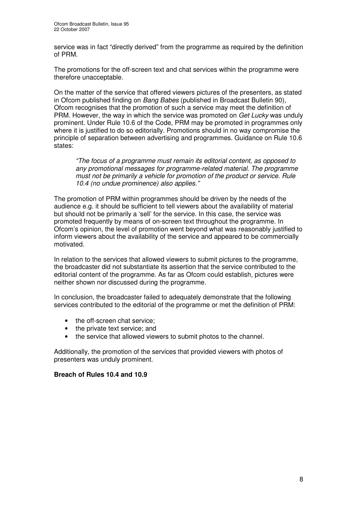service was in fact "directly derived" from the programme as required by the definition of PRM.

The promotions for the off-screen text and chat services within the programme were therefore unacceptable.

On the matter of the service that offered viewers pictures of the presenters, as stated in Ofcom published finding on *Bang Babes* (published in Broadcast Bulletin 90), Ofcom recognises that the promotion of such a service may meet the definition of PRM. However, the way in which the service was promoted on *Get Lucky* was unduly prominent. Under Rule 10.6 of the Code, PRM may be promoted in programmes only where it is justified to do so editorially. Promotions should in no way compromise the principle of separation between advertising and programmes. Guidance on Rule 10.6 states:

*"The focus of a programme must remain its editorial content, as opposed to any promotional messages for programme-related material. The programme must not be primarily a vehicle for promotion of the product or service. Rule 10.4 (no undue prominence) also applies."*

The promotion of PRM within programmes should be driven by the needs of the audience e.g. it should be sufficient to tell viewers about the availability of material but should not be primarily a 'sell' for the service. In this case, the service was promoted frequently by means of on-screen text throughout the programme. In Ofcom's opinion, the level of promotion went beyond what was reasonably justified to inform viewers about the availability of the service and appeared to be commercially motivated.

In relation to the services that allowed viewers to submit pictures to the programme, the broadcaster did not substantiate its assertion that the service contributed to the editorial content of the programme. As far as Ofcom could establish, pictures were neither shown nor discussed during the programme.

In conclusion, the broadcaster failed to adequately demonstrate that the following services contributed to the editorial of the programme or met the definition of PRM:

- the off-screen chat service;
- the private text service; and
- the service that allowed viewers to submit photos to the channel.

Additionally, the promotion of the services that provided viewers with photos of presenters was unduly prominent.

### **Breach of Rules 10.4 and 10.9**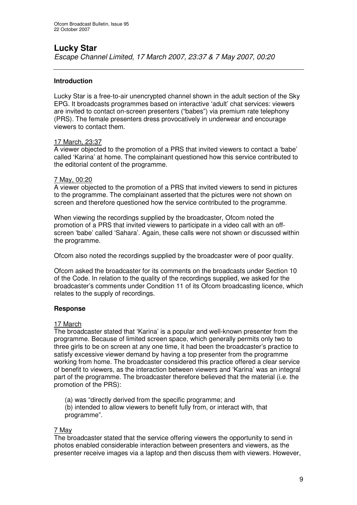# **Lucky Star**

*Escape Channel Limited, 17 March 2007, 23:37 & 7 May 2007, 00:20*

### **Introduction**

Lucky Star is a free-to-air unencrypted channel shown in the adult section of the Sky EPG. It broadcasts programmes based on interactive 'adult' chat services: viewers are invited to contact on-screen presenters ("babes") via premium rate telephony (PRS). The female presenters dress provocatively in underwear and encourage viewers to contact them.

### 17 March, 23:37

A viewer objected to the promotion of a PRS that invited viewers to contact a 'babe' called 'Karina' at home. The complainant questioned how this service contributed to the editorial content of the programme.

### 7 May, 00:20

A viewer objected to the promotion of a PRS that invited viewers to send in pictures to the programme. The complainant asserted that the pictures were not shown on screen and therefore questioned how the service contributed to the programme.

When viewing the recordings supplied by the broadcaster, Ofcom noted the promotion of a PRS that invited viewers to participate in a video call with an offscreen 'babe' called 'Sahara'. Again, these calls were not shown or discussed within the programme.

Ofcom also noted the recordings supplied by the broadcaster were of poor quality.

Ofcom asked the broadcaster for its comments on the broadcasts under Section 10 of the Code. In relation to the quality of the recordings supplied, we asked for the broadcaster's comments under Condition 11 of its Ofcom broadcasting licence, which relates to the supply of recordings.

### **Response**

### 17 March

The broadcaster stated that 'Karina' is a popular and well-known presenter from the programme. Because of limited screen space, which generally permits only two to three girls to be on screen at any one time, it had been the broadcaster's practice to satisfy excessive viewer demand by having a top presenter from the programme working from home. The broadcaster considered this practice offered a clear service of benefit to viewers, as the interaction between viewers and 'Karina' was an integral part of the programme. The broadcaster therefore believed that the material (i.e. the promotion of the PRS):

(a) was "directly derived from the specific programme; and

(b) intended to allow viewers to benefit fully from, or interact with, that programme".

### 7 May

The broadcaster stated that the service offering viewers the opportunity to send in photos enabled considerable interaction between presenters and viewers, as the presenter receive images via a laptop and then discuss them with viewers. However,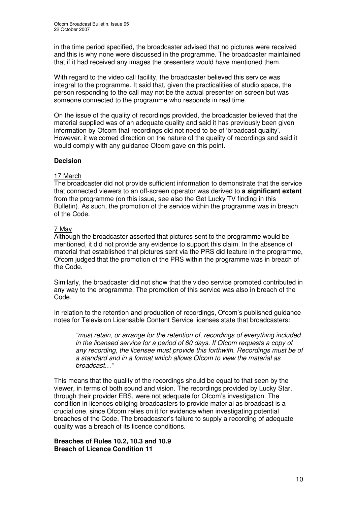in the time period specified, the broadcaster advised that no pictures were received and this is why none were discussed in the programme. The broadcaster maintained that if it had received any images the presenters would have mentioned them.

With regard to the video call facility, the broadcaster believed this service was integral to the programme. It said that, given the practicalities of studio space, the person responding to the call may not be the actual presenter on screen but was someone connected to the programme who responds in real time.

On the issue of the quality of recordings provided, the broadcaster believed that the material supplied was of an adequate quality and said it has previously been given information by Ofcom that recordings did not need to be of 'broadcast quality'. However, it welcomed direction on the nature of the quality of recordings and said it would comply with any guidance Ofcom gave on this point.

### **Decision**

### 17 March

The broadcaster did not provide sufficient information to demonstrate that the service that connected viewers to an off-screen operator was derived to **a significant extent** from the programme (on this issue, see also the Get Lucky TV finding in this Bulletin). As such, the promotion of the service within the programme was in breach of the Code.

### 7 May

Although the broadcaster asserted that pictures sent to the programme would be mentioned, it did not provide any evidence to support this claim. In the absence of material that established that pictures sent via the PRS did feature in the programme, Ofcom judged that the promotion of the PRS within the programme was in breach of the Code.

Similarly, the broadcaster did not show that the video service promoted contributed in any way to the programme. The promotion of this service was also in breach of the Code.

In relation to the retention and production of recordings, Ofcom's published guidance notes for Television Licensable Content Service licenses state that broadcasters:

*"must retain, or arrange for the retention of, recordings of everything included in the licensed service for a period of 60 days. If Ofcom requests a copy of any recording, the licensee must provide this forthwith. Recordings must be of a standard and in a format which allows Ofcom to view the material as broadcast…"*

This means that the quality of the recordings should be equal to that seen by the viewer, in terms of both sound and vision. The recordings provided by Lucky Star, through their provider EBS, were not adequate for Ofcom's investigation. The condition in licences obliging broadcasters to provide material as broadcast is a crucial one, since Ofcom relies on it for evidence when investigating potential breaches of the Code. The broadcaster's failure to supply a recording of adequate quality was a breach of its licence conditions.

### **Breaches of Rules 10.2, 10.3 and 10.9 Breach of Licence Condition 11**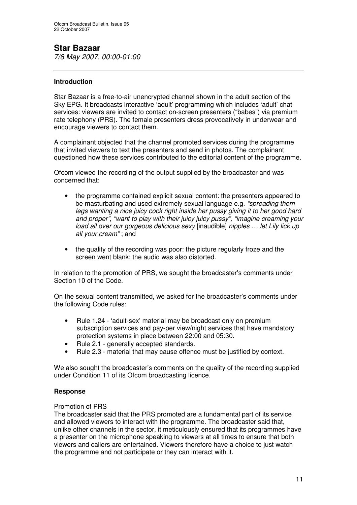# **Star Bazaar**

*7/8 May 2007, 00:00-01:00*

### **Introduction**

Star Bazaar is a free-to-air unencrypted channel shown in the adult section of the Sky EPG. It broadcasts interactive 'adult' programming which includes 'adult' chat services: viewers are invited to contact on-screen presenters ("babes") via premium rate telephony (PRS). The female presenters dress provocatively in underwear and encourage viewers to contact them.

A complainant objected that the channel promoted services during the programme that invited viewers to text the presenters and send in photos. The complainant questioned how these services contributed to the editorial content of the programme.

Ofcom viewed the recording of the output supplied by the broadcaster and was concerned that:

- the programme contained explicit sexual content: the presenters appeared to be masturbating and used extremely sexual language e.g. *"spreading them legs wanting a nice juicy cock right inside her pussy giving it to her good hard and proper", "want to play with their juicy juicy pussy", "imagine creaming your load all over our gorgeous delicious sexy* [inaudible] *nipples … let Lily lick up all your cream"* ; and
- the quality of the recording was poor: the picture regularly froze and the screen went blank; the audio was also distorted.

In relation to the promotion of PRS, we sought the broadcaster's comments under Section 10 of the Code.

On the sexual content transmitted, we asked for the broadcaster's comments under the following Code rules:

- Rule 1.24 'adult-sex' material may be broadcast only on premium subscription services and pay-per view/night services that have mandatory protection systems in place between 22:00 and 05:30.
- Rule 2.1 generally accepted standards.
- Rule 2.3 material that may cause offence must be justified by context.

We also sought the broadcaster's comments on the quality of the recording supplied under Condition 11 of its Ofcom broadcasting licence.

### **Response**

### Promotion of PRS

The broadcaster said that the PRS promoted are a fundamental part of its service and allowed viewers to interact with the programme. The broadcaster said that, unlike other channels in the sector, it meticulously ensured that its programmes have a presenter on the microphone speaking to viewers at all times to ensure that both viewers and callers are entertained. Viewers therefore have a choice to just watch the programme and not participate or they can interact with it.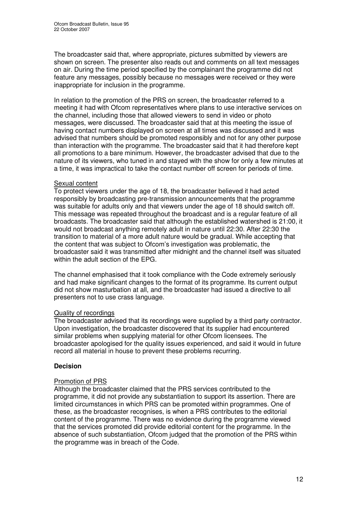The broadcaster said that, where appropriate, pictures submitted by viewers are shown on screen. The presenter also reads out and comments on all text messages on air. During the time period specified by the complainant the programme did not feature any messages, possibly because no messages were received or they were inappropriate for inclusion in the programme.

In relation to the promotion of the PRS on screen, the broadcaster referred to a meeting it had with Ofcom representatives where plans to use interactive services on the channel, including those that allowed viewers to send in video or photo messages, were discussed. The broadcaster said that at this meeting the issue of having contact numbers displayed on screen at all times was discussed and it was advised that numbers should be promoted responsibly and not for any other purpose than interaction with the programme. The broadcaster said that it had therefore kept all promotions to a bare minimum. However, the broadcaster advised that due to the nature of its viewers, who tuned in and stayed with the show for only a few minutes at a time, it was impractical to take the contact number off screen for periods of time.

### Sexual content

To protect viewers under the age of 18, the broadcaster believed it had acted responsibly by broadcasting pre-transmission announcements that the programme was suitable for adults only and that viewers under the age of 18 should switch off. This message was repeated throughout the broadcast and is a regular feature of all broadcasts. The broadcaster said that although the established watershed is 21:00, it would not broadcast anything remotely adult in nature until 22:30. After 22:30 the transition to material of a more adult nature would be gradual. While accepting that the content that was subject to Ofcom's investigation was problematic, the broadcaster said it was transmitted after midnight and the channel itself was situated within the adult section of the EPG.

The channel emphasised that it took compliance with the Code extremely seriously and had make significant changes to the format of its programme. Its current output did not show masturbation at all, and the broadcaster had issued a directive to all presenters not to use crass language.

### Quality of recordings

The broadcaster advised that its recordings were supplied by a third party contractor. Upon investigation, the broadcaster discovered that its supplier had encountered similar problems when supplying material for other Ofcom licensees. The broadcaster apologised for the quality issues experienced, and said it would in future record all material in house to prevent these problems recurring.

### **Decision**

### Promotion of PRS

Although the broadcaster claimed that the PRS services contributed to the programme, it did not provide any substantiation to support its assertion. There are limited circumstances in which PRS can be promoted within programmes. One of these, as the broadcaster recognises, is when a PRS contributes to the editorial content of the programme. There was no evidence during the programme viewed that the services promoted did provide editorial content for the programme. In the absence of such substantiation, Ofcom judged that the promotion of the PRS within the programme was in breach of the Code.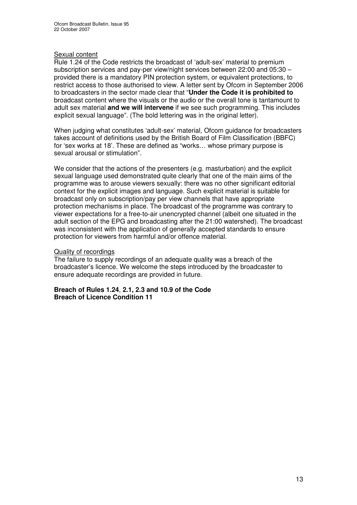### Sexual content

Rule 1.24 of the Code restricts the broadcast of 'adult-sex' material to premium subscription services and pay-per view/night services between 22:00 and 05:30 – provided there is a mandatory PIN protection system, or equivalent protections, to restrict access to those authorised to view. A letter sent by Ofcom in September 2006 to broadcasters in the sector made clear that "**Under the Code it is prohibited to** broadcast content where the visuals or the audio or the overall tone is tantamount to adult sex material **and we will intervene** if we see such programming. This includes explicit sexual language". (The bold lettering was in the original letter).

When judging what constitutes 'adult-sex' material, Ofcom guidance for broadcasters takes account of definitions used by the British Board of Film Classification (BBFC) for 'sex works at 18'. These are defined as "works… whose primary purpose is sexual arousal or stimulation".

We consider that the actions of the presenters (e.g. masturbation) and the explicit sexual language used demonstrated quite clearly that one of the main aims of the programme was to arouse viewers sexually: there was no other significant editorial context for the explicit images and language. Such explicit material is suitable for broadcast only on subscription/pay per view channels that have appropriate protection mechanisms in place. The broadcast of the programme was contrary to viewer expectations for a free-to-air unencrypted channel (albeit one situated in the adult section of the EPG and broadcasting after the 21:00 watershed). The broadcast was inconsistent with the application of generally accepted standards to ensure protection for viewers from harmful and/or offence material.

### Quality of recordings

The failure to supply recordings of an adequate quality was a breach of the broadcaster's licence. We welcome the steps introduced by the broadcaster to ensure adequate recordings are provided in future.

**Breach of Rules 1.24**, **2.1, 2.3 and 10.9 of the Code Breach of Licence Condition 11**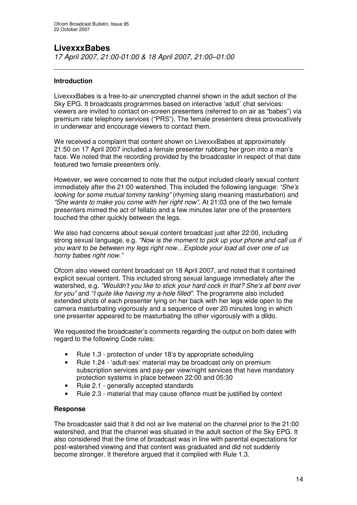# **LivexxxBabes**

*17 April 2007, 21:00-01:00 & 18 April 2007, 21:00–01:00*

### **Introduction**

LivexxxBabes is a free-to-air unencrypted channel shown in the adult section of the Sky EPG. It broadcasts programmes based on interactive 'adult' chat services: viewers are invited to contact on-screen presenters (referred to on air as "babes") via premium rate telephony services ("PRS"). The female presenters dress provocatively in underwear and encourage viewers to contact them.

We received a complaint that content shown on LivexxxBabes at approximately 21:50 on 17 April 2007 included a female presenter rubbing her groin into a man's face. We noted that the recording provided by the broadcaster in respect of that date featured two female presenters only.

However, we were concerned to note that the output included clearly sexual content immediately after the 21:00 watershed. This included the following language: *"She's looking for some mutual tommy tanking"* (rhyming slang meaning masturbation) and *"She wants to make you come with her right now"*. At 21:03 one of the two female presenters mimed the act of fellatio and a few minutes later one of the presenters touched the other quickly between the legs.

We also had concerns about sexual content broadcast just after 22:00, including strong sexual language, e.g. *"Now is the moment to pick up your phone and call us if you want to be between my legs right now…Explode your load all over one of us horny babes right now."*

Ofcom also viewed content broadcast on 18 April 2007, and noted that it contained explicit sexual content. This included strong sexual language immediately after the watershed, e.g. *"Wouldn't you like to stick your hard cock in that? She's all bent over for you"* and *"I quite like having my a-hole filled".* The programme also included extended shots of each presenter lying on her back with her legs wide open to the camera masturbating vigorously and a sequence of over 20 minutes long in which one presenter appeared to be masturbating the other vigorously with a dildo.

We requested the broadcaster's comments regarding the output on both dates with regard to the following Code rules:

- Rule 1.3 protection of under 18's by appropriate scheduling
- Rule 1.24 'adult-sex' material may be broadcast only on premium subscription services and pay-per view/night services that have mandatory protection systems in place between 22:00 and 05:30
- Rule 2.1 generally accepted standards
- Rule 2.3 material that may cause offence must be justified by context

### **Response**

The broadcaster said that it did not air live material on the channel prior to the 21:00 watershed, and that the channel was situated in the adult section of the Sky EPG. It also considered that the time of broadcast was in line with parental expectations for post-watershed viewing and that content was graduated and did not suddenly become stronger. It therefore argued that it complied with Rule 1.3.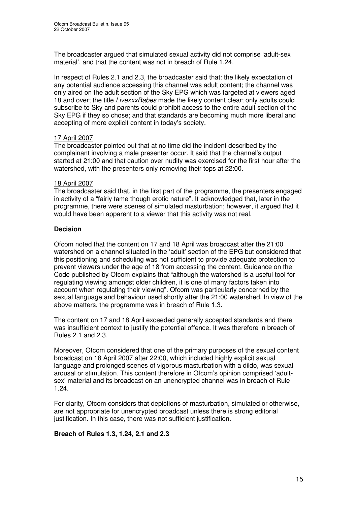The broadcaster argued that simulated sexual activity did not comprise 'adult-sex material', and that the content was not in breach of Rule 1.24.

In respect of Rules 2.1 and 2.3, the broadcaster said that: the likely expectation of any potential audience accessing this channel was adult content; the channel was only aired on the adult section of the Sky EPG which was targeted at viewers aged 18 and over; the title *LivexxxBabes* made the likely content clear; only adults could subscribe to Sky and parents could prohibit access to the entire adult section of the Sky EPG if they so chose; and that standards are becoming much more liberal and accepting of more explicit content in today's society.

### 17 April 2007

The broadcaster pointed out that at no time did the incident described by the complainant involving a male presenter occur. It said that the channel's output started at 21:00 and that caution over nudity was exercised for the first hour after the watershed, with the presenters only removing their tops at 22:00.

### 18 April 2007

The broadcaster said that, in the first part of the programme, the presenters engaged in activity of a "fairly tame though erotic nature". It acknowledged that, later in the programme, there were scenes of simulated masturbation; however, it argued that it would have been apparent to a viewer that this activity was not real.

### **Decision**

Ofcom noted that the content on 17 and 18 April was broadcast after the 21:00 watershed on a channel situated in the 'adult' section of the EPG but considered that this positioning and scheduling was not sufficient to provide adequate protection to prevent viewers under the age of 18 from accessing the content. Guidance on the Code published by Ofcom explains that "although the watershed is a useful tool for regulating viewing amongst older children, it is one of many factors taken into account when regulating their viewing". Ofcom was particularly concerned by the sexual language and behaviour used shortly after the 21:00 watershed. In view of the above matters, the programme was in breach of Rule 1.3.

The content on 17 and 18 April exceeded generally accepted standards and there was insufficient context to justify the potential offence. It was therefore in breach of Rules 2.1 and 2.3.

Moreover, Ofcom considered that one of the primary purposes of the sexual content broadcast on 18 April 2007 after 22:00, which included highly explicit sexual language and prolonged scenes of vigorous masturbation with a dildo, was sexual arousal or stimulation. This content therefore in Ofcom's opinion comprised 'adultsex' material and its broadcast on an unencrypted channel was in breach of Rule 1.24.

For clarity, Ofcom considers that depictions of masturbation, simulated or otherwise, are not appropriate for unencrypted broadcast unless there is strong editorial justification. In this case, there was not sufficient justification.

### **Breach of Rules 1.3, 1.24, 2.1 and 2.3**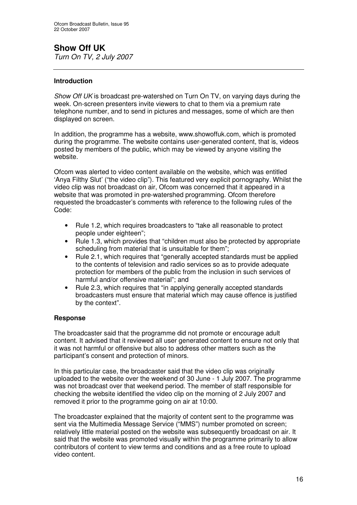# **Show Off UK**

*Turn On TV, 2 July 2007*

### **Introduction**

*Show Off UK* is broadcast pre-watershed on Turn On TV, on varying days during the week. On-screen presenters invite viewers to chat to them via a premium rate telephone number, and to send in pictures and messages, some of which are then displayed on screen.

In addition, the programme has a website, www.showoffuk.com, which is promoted during the programme. The website contains user-generated content, that is, videos posted by members of the public, which may be viewed by anyone visiting the website.

Ofcom was alerted to video content available on the website, which was entitled 'Anya Filthy Slut' ("the video clip"). This featured very explicit pornography. Whilst the video clip was not broadcast on air, Ofcom was concerned that it appeared in a website that was promoted in pre-watershed programming. Ofcom therefore requested the broadcaster's comments with reference to the following rules of the Code:

- Rule 1.2, which requires broadcasters to "take all reasonable to protect people under eighteen";
- Rule 1.3, which provides that "children must also be protected by appropriate scheduling from material that is unsuitable for them";
- Rule 2.1, which requires that "generally accepted standards must be applied to the contents of television and radio services so as to provide adequate protection for members of the public from the inclusion in such services of harmful and/or offensive material"; and
- Rule 2.3, which requires that "in applying generally accepted standards broadcasters must ensure that material which may cause offence is justified by the context".

### **Response**

The broadcaster said that the programme did not promote or encourage adult content. It advised that it reviewed all user generated content to ensure not only that it was not harmful or offensive but also to address other matters such as the participant's consent and protection of minors.

In this particular case, the broadcaster said that the video clip was originally uploaded to the website over the weekend of 30 June - 1 July 2007. The programme was not broadcast over that weekend period. The member of staff responsible for checking the website identified the video clip on the morning of 2 July 2007 and removed it prior to the programme going on air at 10:00.

The broadcaster explained that the majority of content sent to the programme was sent via the Multimedia Message Service ("MMS") number promoted on screen; relatively little material posted on the website was subsequently broadcast on air. It said that the website was promoted visually within the programme primarily to allow contributors of content to view terms and conditions and as a free route to upload video content.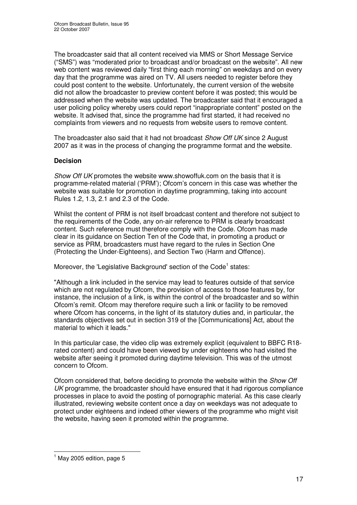The broadcaster said that all content received via MMS or Short Message Service ("SMS") was "moderated prior to broadcast and/or broadcast on the website". All new web content was reviewed daily "first thing each morning" on weekdays and on every day that the programme was aired on TV. All users needed to register before they could post content to the website. Unfortunately, the current version of the website did not allow the broadcaster to preview content before it was posted; this would be addressed when the website was updated. The broadcaster said that it encouraged a user policing policy whereby users could report "inappropriate content" posted on the website. It advised that, since the programme had first started, it had received no complaints from viewers and no requests from website users to remove content.

The broadcaster also said that it had not broadcast *Show Off UK* since 2 August 2007 as it was in the process of changing the programme format and the website.

### **Decision**

*Show Off UK* promotes the website www.showoffuk.com on the basis that it is programme-related material ('PRM'); Ofcom's concern in this case was whether the website was suitable for promotion in daytime programming, taking into account Rules 1.2, 1.3, 2.1 and 2.3 of the Code.

Whilst the content of PRM is not itself broadcast content and therefore not subject to the requirements of the Code, any on-air reference to PRM is clearly broadcast content. Such reference must therefore comply with the Code. Ofcom has made clear in its guidance on Section Ten of the Code that, in promoting a product or service as PRM, broadcasters must have regard to the rules in Section One (Protecting the Under-Eighteens), and Section Two (Harm and Offence).

Moreover, the 'Legislative Background' section of the Code<sup>1</sup> states:

"Although a link included in the service may lead to features outside of that service which are not regulated by Ofcom, the provision of access to those features by, for instance, the inclusion of a link, is within the control of the broadcaster and so within Ofcom's remit. Ofcom may therefore require such a link or facility to be removed where Ofcom has concerns, in the light of its statutory duties and, in particular, the standards objectives set out in section 319 of the [Communications] Act, about the material to which it leads."

In this particular case, the video clip was extremely explicit (equivalent to BBFC R18 rated content) and could have been viewed by under eighteens who had visited the website after seeing it promoted during daytime television. This was of the utmost concern to Ofcom.

Ofcom considered that, before deciding to promote the website within the *Show Off UK* programme, the broadcaster should have ensured that it had rigorous compliance processes in place to avoid the posting of pornographic material. As this case clearly illustrated, reviewing website content once a day on weekdays was not adequate to protect under eighteens and indeed other viewers of the programme who might visit the website, having seen it promoted within the programme.

 $<sup>1</sup>$  May 2005 edition, page 5</sup>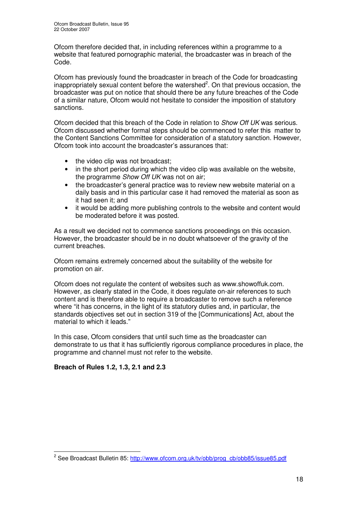Ofcom therefore decided that, in including references within a programme to a website that featured pornographic material, the broadcaster was in breach of the Code.

Ofcom has previously found the broadcaster in breach of the Code for broadcasting inappropriately sexual content before the watershed<sup>2</sup>. On that previous occasion, the broadcaster was put on notice that should there be any future breaches of the Code of a similar nature, Ofcom would not hesitate to consider the imposition of statutory sanctions.

Ofcom decided that this breach of the Code in relation to *Show Off UK* was serious. Ofcom discussed whether formal steps should be commenced to refer this matter to the Content Sanctions Committee for consideration of a statutory sanction. However, Ofcom took into account the broadcaster's assurances that:

- the video clip was not broadcast:
- in the short period during which the video clip was available on the website, the programme *Show Off UK* was not on air;
- the broadcaster's general practice was to review new website material on a daily basis and in this particular case it had removed the material as soon as it had seen it; and
- it would be adding more publishing controls to the website and content would be moderated before it was posted.

As a result we decided not to commence sanctions proceedings on this occasion. However, the broadcaster should be in no doubt whatsoever of the gravity of the current breaches.

Ofcom remains extremely concerned about the suitability of the website for promotion on air.

Ofcom does not regulate the content of websites such as www.showoffuk.com. However, as clearly stated in the Code, it does regulate on-air references to such content and is therefore able to require a broadcaster to remove such a reference where "it has concerns, in the light of its statutory duties and, in particular, the standards objectives set out in section 319 of the [Communications] Act, about the material to which it leads."

In this case, Ofcom considers that until such time as the broadcaster can demonstrate to us that it has sufficiently rigorous compliance procedures in place, the programme and channel must not refer to the website.

### **Breach of Rules 1.2, 1.3, 2.1 and 2.3**

<sup>&</sup>lt;sup>2</sup> See Broadcast Bulletin 85: <u>http://www.ofcom.org.uk/tv/obb/prog\_cb/obb85/issue85.pdf</u>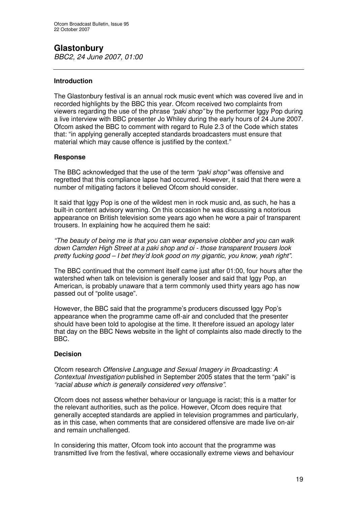# **Glastonbury**

*BBC2, 24 June 2007, 01:00*

### **Introduction**

The Glastonbury festival is an annual rock music event which was covered live and in recorded highlights by the BBC this year. Ofcom received two complaints from viewers regarding the use of the phrase *"paki shop"* by the performer Iggy Pop during a live interview with BBC presenter Jo Whiley during the early hours of 24 June 2007. Ofcom asked the BBC to comment with regard to Rule 2.3 of the Code which states that: "in applying generally accepted standards broadcasters must ensure that material which may cause offence is justified by the context."

### **Response**

The BBC acknowledged that the use of the term *"paki shop"* was offensive and regretted that this compliance lapse had occurred. However, it said that there were a number of mitigating factors it believed Ofcom should consider.

It said that Iggy Pop is one of the wildest men in rock music and, as such, he has a built-in content advisory warning. On this occasion he was discussing a notorious appearance on British television some years ago when he wore a pair of transparent trousers. In explaining how he acquired them he said:

*"The beauty of being me is that you can wear expensive clobber and you can walk down Camden High Street at a paki shop and oi - those transparent trousers look pretty fucking good – I bet they'd look good on my gigantic, you know, yeah right".*

The BBC continued that the comment itself came just after 01:00, four hours after the watershed when talk on television is generally looser and said that Iggy Pop, an American, is probably unaware that a term commonly used thirty years ago has now passed out of "polite usage".

However, the BBC said that the programme's producers discussed Iggy Pop's appearance when the programme came off-air and concluded that the presenter should have been told to apologise at the time. It therefore issued an apology later that day on the BBC News website in the light of complaints also made directly to the BBC.

### **Decision**

Ofcom research *Offensive Language and Sexual Imagery in Broadcasting: A Contextual Investigation* published in September 2005 states that the term "paki" is *"racial abuse which is generally considered very offensive".*

Ofcom does not assess whether behaviour or language is racist; this is a matter for the relevant authorities, such as the police. However, Ofcom does require that generally accepted standards are applied in television programmes and particularly, as in this case, when comments that are considered offensive are made live on-air and remain unchallenged.

In considering this matter, Ofcom took into account that the programme was transmitted live from the festival, where occasionally extreme views and behaviour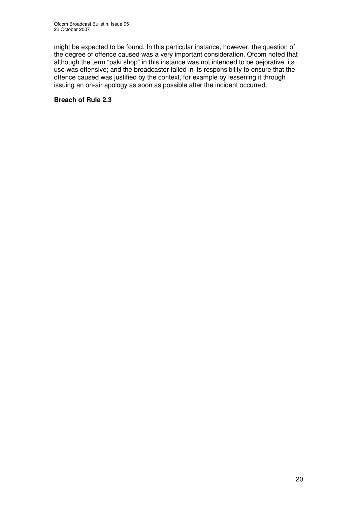might be expected to be found. In this particular instance, however, the question of the degree of offence caused was a very important consideration. Ofcom noted that although the term "paki shop" in this instance was not intended to be pejorative, its use was offensive; and the broadcaster failed in its responsibility to ensure that the offence caused was justified by the context, for example by lessening it through issuing an on-air apology as soon as possible after the incident occurred.

### **Breach of Rule 2.3**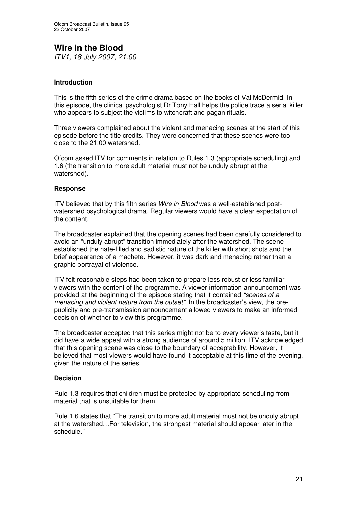# **Wire in the Blood**

*ITV1, 18 July 2007, 21:00*

### **Introduction**

This is the fifth series of the crime drama based on the books of Val McDermid. In this episode, the clinical psychologist Dr Tony Hall helps the police trace a serial killer who appears to subject the victims to witchcraft and pagan rituals.

Three viewers complained about the violent and menacing scenes at the start of this episode before the title credits. They were concerned that these scenes were too close to the 21:00 watershed.

Ofcom asked ITV for comments in relation to Rules 1.3 (appropriate scheduling) and 1.6 (the transition to more adult material must not be unduly abrupt at the watershed).

### **Response**

ITV believed that by this fifth series *Wire in Blood* was a well-established postwatershed psychological drama. Regular viewers would have a clear expectation of the content.

The broadcaster explained that the opening scenes had been carefully considered to avoid an "unduly abrupt" transition immediately after the watershed. The scene established the hate-filled and sadistic nature of the killer with short shots and the brief appearance of a machete. However, it was dark and menacing rather than a graphic portrayal of violence.

ITV felt reasonable steps had been taken to prepare less robust or less familiar viewers with the content of the programme. A viewer information announcement was provided at the beginning of the episode stating that it contained *"scenes of a menacing and violent nature from the outset"*. In the broadcaster's view, the prepublicity and pre-transmission announcement allowed viewers to make an informed decision of whether to view this programme.

The broadcaster accepted that this series might not be to every viewer's taste, but it did have a wide appeal with a strong audience of around 5 million. ITV acknowledged that this opening scene was close to the boundary of acceptability. However, it believed that most viewers would have found it acceptable at this time of the evening, given the nature of the series.

### **Decision**

Rule 1.3 requires that children must be protected by appropriate scheduling from material that is unsuitable for them.

Rule 1.6 states that "The transition to more adult material must not be unduly abrupt at the watershed…For television, the strongest material should appear later in the schedule."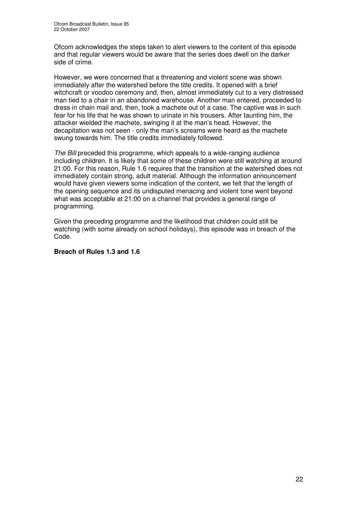Ofcom acknowledges the steps taken to alert viewers to the content of this episode and that regular viewers would be aware that the series does dwell on the darker side of crime.

However, we were concerned that a threatening and violent scene was shown immediately after the watershed before the title credits. It opened with a brief witchcraft or voodoo ceremony and, then, almost immediately cut to a very distressed man tied to a chair in an abandoned warehouse. Another man entered, proceeded to dress in chain mail and, then, took a machete out of a case. The captive was in such fear for his life that he was shown to urinate in his trousers. After taunting him, the attacker wielded the machete, swinging it at the man's head. However, the decapitation was not seen - only the man's screams were heard as the machete swung towards him. The title credits immediately followed.

*The Bill* preceded this programme, which appeals to a wide-ranging audience including children. It is likely that some of these children were still watching at around 21:00. For this reason, Rule 1.6 requires that the transition at the watershed does not immediately contain strong, adult material. Although the information announcement would have given viewers some indication of the content, we felt that the length of the opening sequence and its undisputed menacing and violent tone went beyond what was acceptable at 21:00 on a channel that provides a general range of programming.

Given the preceding programme and the likelihood that children could still be watching (with some already on school holidays), this episode was in breach of the Code.

### **Breach of Rules 1.3 and 1.6**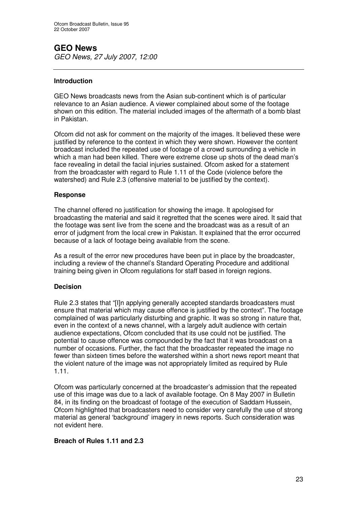# **GEO News**

*GEO News, 27 July 2007, 12:00*

### **Introduction**

GEO News broadcasts news from the Asian sub-continent which is of particular relevance to an Asian audience. A viewer complained about some of the footage shown on this edition*.* The material included images of the aftermath of a bomb blast in Pakistan.

Ofcom did not ask for comment on the majority of the images. It believed these were justified by reference to the context in which they were shown. However the content broadcast included the repeated use of footage of a crowd surrounding a vehicle in which a man had been killed. There were extreme close up shots of the dead man's face revealing in detail the facial injuries sustained. Ofcom asked for a statement from the broadcaster with regard to Rule 1.11 of the Code (violence before the watershed) and Rule 2.3 (offensive material to be justified by the context).

### **Response**

The channel offered no justification for showing the image. It apologised for broadcasting the material and said it regretted that the scenes were aired. It said that the footage was sent live from the scene and the broadcast was as a result of an error of judgment from the local crew in Pakistan. It explained that the error occurred because of a lack of footage being available from the scene.

As a result of the error new procedures have been put in place by the broadcaster, including a review of the channel's Standard Operating Procedure and additional training being given in Ofcom regulations for staff based in foreign regions.

### **Decision**

Rule 2.3 states that "[I]n applying generally accepted standards broadcasters must ensure that material which may cause offence is justified by the context". The footage complained of was particularly disturbing and graphic. It was so strong in nature that, even in the context of a news channel, with a largely adult audience with certain audience expectations, Ofcom concluded that its use could not be justified. The potential to cause offence was compounded by the fact that it was broadcast on a number of occasions. Further, the fact that the broadcaster repeated the image no fewer than sixteen times before the watershed within a short news report meant that the violent nature of the image was not appropriately limited as required by Rule 1.11.

Ofcom was particularly concerned at the broadcaster's admission that the repeated use of this image was due to a lack of available footage. On 8 May 2007 in Bulletin 84, in its finding on the broadcast of footage of the execution of Saddam Hussein, Ofcom highlighted that broadcasters need to consider very carefully the use of strong material as general 'background' imagery in news reports. Such consideration was not evident here.

### **Breach of Rules 1.11 and 2.3**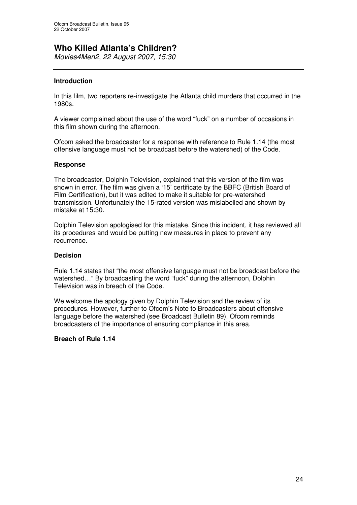# **Who Killed Atlanta's Children?**

*Movies4Men2, 22 August 2007, 15:30*

### **Introduction**

In this film, two reporters re-investigate the Atlanta child murders that occurred in the 1980s.

A viewer complained about the use of the word "fuck" on a number of occasions in this film shown during the afternoon.

Ofcom asked the broadcaster for a response with reference to Rule 1.14 (the most offensive language must not be broadcast before the watershed) of the Code.

### **Response**

The broadcaster, Dolphin Television, explained that this version of the film was shown in error. The film was given a '15' certificate by the BBFC (British Board of Film Certification), but it was edited to make it suitable for pre-watershed transmission. Unfortunately the 15-rated version was mislabelled and shown by mistake at 15:30.

Dolphin Television apologised for this mistake. Since this incident, it has reviewed all its procedures and would be putting new measures in place to prevent any recurrence.

### **Decision**

Rule 1.14 states that "the most offensive language must not be broadcast before the watershed…" By broadcasting the word "fuck" during the afternoon, Dolphin Television was in breach of the Code.

We welcome the apology given by Dolphin Television and the review of its procedures. However, further to Ofcom's Note to Broadcasters about offensive language before the watershed (see Broadcast Bulletin 89), Ofcom reminds broadcasters of the importance of ensuring compliance in this area.

### **Breach of Rule 1.14**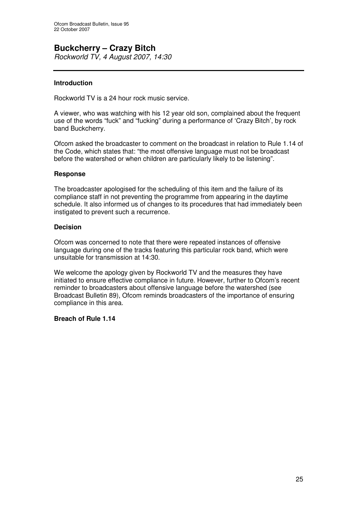### **Buckcherry – Crazy Bitch** *Rockworld TV, 4 August 2007, 14:30*

### **Introduction**

Rockworld TV is a 24 hour rock music service.

A viewer, who was watching with his 12 year old son, complained about the frequent use of the words "fuck" and "fucking" during a performance of 'Crazy Bitch', by rock band Buckcherry.

Ofcom asked the broadcaster to comment on the broadcast in relation to Rule 1.14 of the Code, which states that: "the most offensive language must not be broadcast before the watershed or when children are particularly likely to be listening".

### **Response**

The broadcaster apologised for the scheduling of this item and the failure of its compliance staff in not preventing the programme from appearing in the daytime schedule. It also informed us of changes to its procedures that had immediately been instigated to prevent such a recurrence.

### **Decision**

Ofcom was concerned to note that there were repeated instances of offensive language during one of the tracks featuring this particular rock band, which were unsuitable for transmission at 14:30.

We welcome the apology given by Rockworld TV and the measures they have initiated to ensure effective compliance in future. However, further to Ofcom's recent reminder to broadcasters about offensive language before the watershed (see Broadcast Bulletin 89), Ofcom reminds broadcasters of the importance of ensuring compliance in this area.

### **Breach of Rule 1.14**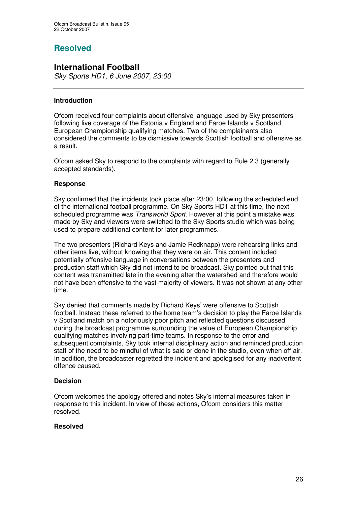# **Resolved**

# **International Football**

*Sky Sports HD1, 6 June 2007, 23:00*

### **Introduction**

Ofcom received four complaints about offensive language used by Sky presenters following live coverage of the Estonia v England and Faroe Islands v Scotland European Championship qualifying matches. Two of the complainants also considered the comments to be dismissive towards Scottish football and offensive as a result.

Ofcom asked Sky to respond to the complaints with regard to Rule 2.3 (generally accepted standards).

### **Response**

Sky confirmed that the incidents took place after 23:00, following the scheduled end of the international football programme. On Sky Sports HD1 at this time, the next scheduled programme was *Transworld Sport*. However at this point a mistake was made by Sky and viewers were switched to the Sky Sports studio which was being used to prepare additional content for later programmes.

The two presenters (Richard Keys and Jamie Redknapp) were rehearsing links and other items live, without knowing that they were on air. This content included potentially offensive language in conversations between the presenters and production staff which Sky did not intend to be broadcast. Sky pointed out that this content was transmitted late in the evening after the watershed and therefore would not have been offensive to the vast majority of viewers. It was not shown at any other time.

Sky denied that comments made by Richard Keys' were offensive to Scottish football. Instead these referred to the home team's decision to play the Faroe Islands v Scotland match on a notoriously poor pitch and reflected questions discussed during the broadcast programme surrounding the value of European Championship qualifying matches involving part-time teams. In response to the error and subsequent complaints, Sky took internal disciplinary action and reminded production staff of the need to be mindful of what is said or done in the studio, even when off air. In addition, the broadcaster regretted the incident and apologised for any inadvertent offence caused.

### **Decision**

Ofcom welcomes the apology offered and notes Sky's internal measures taken in response to this incident. In view of these actions, Ofcom considers this matter resolved.

### **Resolved**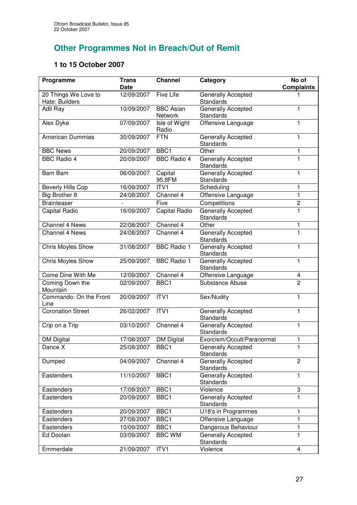# **Other Programmes Not in Breach/Out of Remit**

# **1 to 15 October 2007**

| Programme                              | <b>Trans</b><br><b>Date</b> | <b>Channel</b>                     | Category                                      | No of<br><b>Complaints</b> |
|----------------------------------------|-----------------------------|------------------------------------|-----------------------------------------------|----------------------------|
| 20 Things We Love to<br>Hate: Builders | 12/09/2007                  | Five Life                          | Generally Accepted<br><b>Standards</b>        |                            |
| Adil Ray                               | 10/09/2007                  | <b>BBC Asian</b><br><b>Network</b> | Generally Accepted<br>Standards               | 1                          |
| Alex Dyke                              | 07/09/2007                  | Isle of Wight<br>Radio             | Offensive Language                            | 1                          |
| <b>American Dummies</b>                | 30/09/2007                  | <b>FTN</b>                         | Generally Accepted<br><b>Standards</b>        | 1                          |
| <b>BBC News</b>                        | 20/09/2007                  | BBC <sub>1</sub>                   | Other                                         | 1                          |
| <b>BBC Radio 4</b>                     | 20/09/2007                  | <b>BBC Radio 4</b>                 | <b>Generally Accepted</b><br><b>Standards</b> | 1                          |
| <b>Bam Bam</b>                         | 06/09/2007                  | Capital<br>95.8FM                  | Generally Accepted<br><b>Standards</b>        | 1                          |
| <b>Beverly Hills Cop</b>               | 16/09/2007                  | ITV1                               | Scheduling                                    | 1                          |
| Big Brother 8                          | 24/08/2007                  | Channel 4                          | Offensive Language                            | 1                          |
| <b>Brainteaser</b>                     |                             | Five                               | Competitions                                  | $\overline{c}$             |
| Capital Radio                          | 16/09/2007                  | Capital Radio                      | <b>Generally Accepted</b><br><b>Standards</b> | 1                          |
| Channel 4 News                         | 22/08/2007                  | Channel 4                          | Other                                         | 1                          |
| Channel 4 News                         | 24/08/2007                  | Channel 4                          | Generally Accepted<br>Standards               | 1                          |
| <b>Chris Moyles Show</b>               | 31/08/2007                  | <b>BBC Radio 1</b>                 | <b>Generally Accepted</b><br>Standards        | 1                          |
| Chris Moyles Show                      | 25/09/2007                  | <b>BBC Radio 1</b>                 | Generally Accepted<br>Standards               | 1                          |
| Come Dine With Me                      | 12/09/2007                  | Channel 4                          | Offensive Language                            | 4                          |
| Coming Down the<br>Mountain            | 02/09/2007                  | BBC1                               | Substance Abuse                               | $\overline{2}$             |
| Commando: On the Front<br>Line         | 20/09/2007                  | ITV1                               | Sex/Nudity                                    | 1                          |
| <b>Coronation Street</b>               | 26/02/2007                  | ITVI                               | Generally Accepted<br>Standards               | 1                          |
| Crip on a Trip                         | 03/10/2007                  | Channel 4                          | Generally Accepted<br>Standards               | 1                          |
| <b>DM Digital</b>                      | 17/08/2007                  | <b>DM Digital</b>                  | Exorcism/Occult/Paranormal                    | 1                          |
| Dance X                                | 25/08/2007                  | BBC1                               | <b>Generally Accepted</b><br>Standards        | 1                          |
| Dumped                                 | 04/09/2007                  | Channel 4                          | Generally Accepted<br><b>Standards</b>        | $\overline{2}$             |
| Eastenders                             | 11/10/2007                  | BBC <sub>1</sub>                   | Generally Accepted<br><b>Standards</b>        | 1                          |
| Eastenders                             | 17/09/2007                  | BBC1                               | Violence                                      | 3                          |
| Eastenders                             | 20/09/2007                  | BBC1                               | <b>Generally Accepted</b><br><b>Standards</b> | 1                          |
| Eastenders                             | 20/09/2007                  | BBC1                               | U18's in Programmes                           | 1                          |
| Eastenders                             | 27/08/2007                  | BBC1                               | Offensive Language                            | 1                          |
| Eastenders                             | 10/09/2007                  | BBC1                               | Dangerous Behaviour                           | 1                          |
| Ed Doolan                              | 03/09/2007                  | <b>BBC WM</b>                      | <b>Generally Accepted</b><br><b>Standards</b> | 1                          |
| Emmerdale                              | 21/09/2007                  | ITVI                               | Violence                                      | 4                          |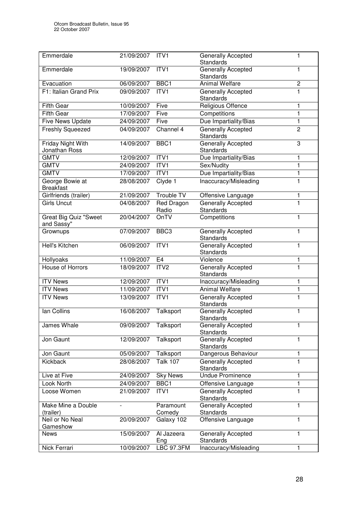| Emmerdale                                  | 21/09/2007 | ITV1                       | <b>Generally Accepted</b><br><b>Standards</b> | 1                       |
|--------------------------------------------|------------|----------------------------|-----------------------------------------------|-------------------------|
| Emmerdale                                  | 19/09/2007 | ITV1                       | <b>Generally Accepted</b><br><b>Standards</b> | 1                       |
| Evacuation                                 | 06/09/2007 | BBC1                       | <b>Animal Welfare</b>                         | $\overline{\mathbf{c}}$ |
| F1: Italian Grand Prix                     | 09/09/2007 | ITVI                       | Generally Accepted<br>Standards               | $\mathbf{1}$            |
| <b>Fifth Gear</b>                          | 10/09/2007 | Five                       | Religious Offence                             | 1                       |
| <b>Fifth Gear</b>                          | 17/09/2007 | Five                       | Competitions                                  | $\mathbf{1}$            |
| Five News Update                           | 24/09/2007 | Five                       | Due Impartiality/Bias                         | 1                       |
| <b>Freshly Squeezed</b>                    | 04/09/2007 | Channel 4                  | <b>Generally Accepted</b><br><b>Standards</b> | $\overline{2}$          |
| <b>Friday Night With</b><br>Jonathan Ross  | 14/09/2007 | BBC <sub>1</sub>           | <b>Generally Accepted</b><br><b>Standards</b> | 3                       |
| <b>GMTV</b>                                | 12/09/2007 | ITVI                       | Due Impartiality/Bias                         | 1                       |
| <b>GMTV</b>                                | 24/09/2007 | ITV1                       | Sex/Nudity                                    | $\mathbf{1}$            |
| <b>GMTV</b>                                | 17/09/2007 | ITVI                       | Due Impartiality/Bias                         | $\mathbf{1}$            |
| George Bowie at<br><b>Breakfast</b>        | 28/08/2007 | Clyde 1                    | Inaccuracy/Misleading                         | $\mathbf{1}$            |
| Girlfriends (trailer)                      | 21/09/2007 | Trouble TV                 | Offensive Language                            | 1                       |
| <b>Girls Uncut</b>                         | 04/08/2007 | <b>Red Dragon</b><br>Radio | <b>Generally Accepted</b><br>Standards        | $\mathbf{1}$            |
| <b>Great Big Quiz "Sweet</b><br>and Sassy" | 20/04/2007 | OnTV                       | Competitions                                  | $\mathbf{1}$            |
| Grownups                                   | 07/09/2007 | BBC <sub>3</sub>           | Generally Accepted<br><b>Standards</b>        | $\mathbf{1}$            |
| Hell's Kitchen                             | 06/09/2007 | ITV1                       | Generally Accepted<br><b>Standards</b>        | $\mathbf{1}$            |
| Hollyoaks                                  | 11/09/2007 | E <sub>4</sub>             | Violence                                      | 1                       |
| House of Horrors                           | 18/09/2007 | ITV <sub>2</sub>           | Generally Accepted<br>Standards               | $\overline{1}$          |
| <b>ITV News</b>                            | 12/09/2007 | ITVI                       | Inaccuracy/Misleading                         | 1                       |
| <b>ITV News</b>                            | 11/09/2007 | ITVI                       | <b>Animal Welfare</b>                         | $\mathbf{1}$            |
| <b>ITV News</b>                            | 13/09/2007 | ITV1                       | Generally Accepted<br><b>Standards</b>        | 1                       |
| lan Collins                                | 16/08/2007 | Talksport                  | <b>Generally Accepted</b><br>Standards        | 1                       |
| James Whale                                | 09/09/2007 | Talksport                  | <b>Generally Accepted</b><br>Standards        | 1                       |
| Jon Gaunt                                  | 12/09/2007 | Talksport                  | Generally Accepted<br><b>Standards</b>        | 1                       |
| Jon Gaunt                                  | 05/09/2007 | Talksport                  | Dangerous Behaviour                           | 1                       |
| <b>Kickback</b>                            | 28/08/2007 | <b>Talk 107</b>            | <b>Generally Accepted</b><br><b>Standards</b> | 1                       |
| Live at Five                               | 24/09/2007 | <b>Sky News</b>            | <b>Undue Prominence</b>                       | 1                       |
| <b>Look North</b>                          | 24/09/2007 | BBC1                       | Offensive Language                            | 1                       |
| Loose Women                                | 21/09/2007 | ITV1                       | <b>Generally Accepted</b><br><b>Standards</b> | $\mathbf{1}$            |
| Make Mine a Double<br>(trailer)            |            | Paramount<br>Comedy        | Generally Accepted<br>Standards               | $\mathbf{1}$            |
| Neil or No Neal<br>Gameshow                | 20/09/2007 | Galaxy 102                 | Offensive Language                            | 1                       |
| <b>News</b>                                | 15/09/2007 | Al Jazeera                 | Generally Accepted                            | $\mathbf{1}$            |
|                                            |            | Eng                        | Standards                                     |                         |
| Nick Ferrari                               | 10/09/2007 | <b>LBC 97.3FM</b>          | Inaccuracy/Misleading                         | 1                       |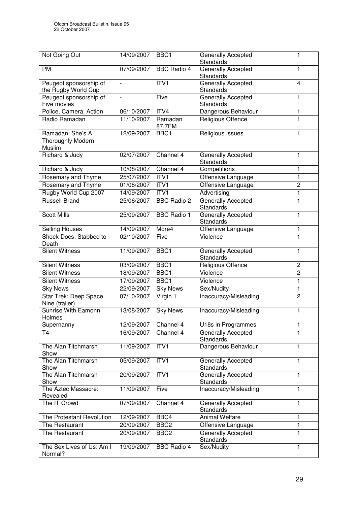| Not Going Out                                          | 14/09/2007 | BBC <sub>1</sub>   | <b>Generally Accepted</b><br><b>Standards</b> | 1              |
|--------------------------------------------------------|------------|--------------------|-----------------------------------------------|----------------|
| <b>PM</b>                                              | 07/09/2007 | <b>BBC Radio 4</b> | Generally Accepted<br><b>Standards</b>        | 1              |
| Peugeot sponsorship of<br>the Rugby World Cup          |            | ITV1               | Generally Accepted<br><b>Standards</b>        | 4              |
| Peugeot sponsorship of<br>Five movies                  |            | Five               | Generally Accepted<br><b>Standards</b>        | 1              |
| Police, Camera, Action                                 | 06/10/2007 | ITV4               | Dangerous Behaviour                           | 1              |
| Radio Ramadan                                          | 11/10/2007 | Ramadan<br>87.7FM  | <b>Religious Offence</b>                      | $\mathbf{1}$   |
| Ramadan: She's A<br><b>Thoroughly Modern</b><br>Muslim | 12/09/2007 | BBC1               | Religious Issues                              | 1              |
| Richard & Judy                                         | 02/07/2007 | Channel 4          | Generally Accepted<br><b>Standards</b>        | 1              |
| Richard & Judy                                         | 10/08/2007 | Channel 4          | Competitions                                  | 1              |
| Rosemary and Thyme                                     | 25/07/2007 | ITV1               | Offensive Language                            | $\mathbf{1}$   |
| <b>Rosemary and Thyme</b>                              | 01/08/2007 | ITVI               | Offensive Language                            | $\overline{2}$ |
| Rugby World Cup 2007                                   | 14/09/2007 | ITVI               | Advertising                                   | 1              |
| <b>Russell Brand</b>                                   | 25/06/2007 | <b>BBC</b> Radio 2 | <b>Generally Accepted</b><br><b>Standards</b> | 1              |
| <b>Scott Mills</b>                                     | 25/09/2007 | <b>BBC Radio 1</b> | <b>Generally Accepted</b><br>Standards        | $\mathbf{1}$   |
| <b>Selling Houses</b>                                  | 14/09/2007 | More4              | Offensive Language                            | 1              |
| Shock Docs: Stabbed to<br>Death                        | 02/10/2007 | Five               | Violence                                      | 1              |
| <b>Silent Witness</b>                                  | 11/09/2007 | BBC1               | Generally Accepted<br>Standards               | 1              |
| <b>Silent Witness</b>                                  | 03/09/2007 | BBC1               | Religious Offence                             | $\overline{c}$ |
| Silent Witness                                         | 18/09/2007 | BBC1               | Violence                                      | $\overline{2}$ |
| <b>Silent Witness</b>                                  | 17/09/2007 | BBC <sub>1</sub>   | Violence                                      | 1              |
| <b>Sky News</b>                                        | 22/09/2007 | <b>Sky News</b>    | Sex/Nudity                                    | 1              |
| Star Trek: Deep Space<br>Nine (trailer)                | 07/10/2007 | Virgin 1           | Inaccuracy/Misleading                         | $\overline{2}$ |
| Sunrise With Eamonn<br>Holmes                          | 13/08/2007 | <b>Sky News</b>    | Inaccuracy/Misleading                         | 1              |
| Supernanny                                             | 12/09/2007 | Channel 4          | U18s in Programmes                            | 1              |
| T <sub>4</sub>                                         | 16/09/2007 | Channel 4          | Generally Accepted<br>Standards               | 1              |
| The Alan Titchmarsh<br>Show                            | 11/09/2007 | ITV1               | Dangerous Behaviour                           | 1              |
| The Alan Titchmarsh<br>Show                            | 05/09/2007 | ITV1               | <b>Generally Accepted</b><br>Standards        | 1              |
| The Alan Titchmarsh<br>Show                            | 20/09/2007 | ITV1               | Generally Accepted<br><b>Standards</b>        | 1              |
| The Aztec Massacre:<br>Revealed                        | 11/09/2007 | Five               | Inaccuracy/Misleading                         | 1              |
| The IT Crowd                                           | 07/09/2007 | Channel 4          | Generally Accepted<br>Standards               | 1              |
| The Protestant Revolution                              | 12/09/2007 | BBC4               | Animal Welfare                                | 1              |
| The Restaurant                                         | 20/09/2007 | BBC <sub>2</sub>   | Offensive Language                            | 1              |
| The Restaurant                                         | 20/09/2007 | BBC <sub>2</sub>   | Generally Accepted<br><b>Standards</b>        | 1              |
| The Sex Lives of Us: Am I<br>Normal?                   | 19/09/2007 | <b>BBC Radio 4</b> | Sex/Nudity                                    | 1              |